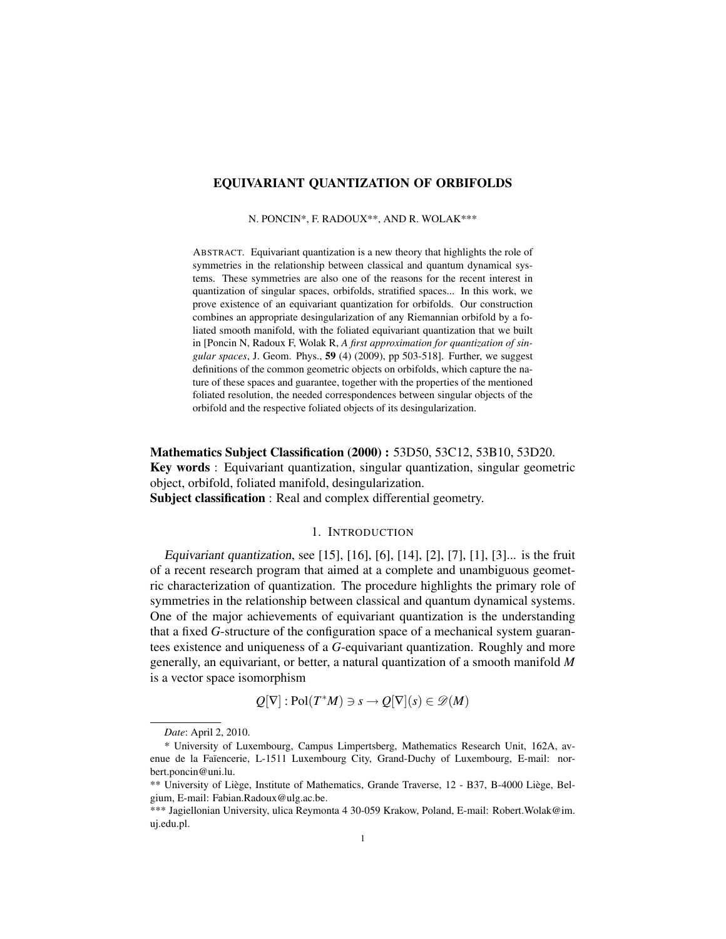## EQUIVARIANT QUANTIZATION OF ORBIFOLDS

N. PONCIN\*, F. RADOUX\*\*, AND R. WOLAK\*\*\*

ABSTRACT. Equivariant quantization is a new theory that highlights the role of symmetries in the relationship between classical and quantum dynamical systems. These symmetries are also one of the reasons for the recent interest in quantization of singular spaces, orbifolds, stratified spaces... In this work, we prove existence of an equivariant quantization for orbifolds. Our construction combines an appropriate desingularization of any Riemannian orbifold by a foliated smooth manifold, with the foliated equivariant quantization that we built in [Poncin N, Radoux F, Wolak R, *A first approximation for quantization of singular spaces*, J. Geom. Phys., 59 (4) (2009), pp 503-518]. Further, we suggest definitions of the common geometric objects on orbifolds, which capture the nature of these spaces and guarantee, together with the properties of the mentioned foliated resolution, the needed correspondences between singular objects of the orbifold and the respective foliated objects of its desingularization.

Mathematics Subject Classification (2000) : 53D50, 53C12, 53B10, 53D20. Key words : Equivariant quantization, singular quantization, singular geometric object, orbifold, foliated manifold, desingularization. Subject classification : Real and complex differential geometry.

### 1. INTRODUCTION

Equivariant quantization, see [15], [16], [6], [14], [2], [7], [1], [3]... is the fruit of a recent research program that aimed at a complete and unambiguous geometric characterization of quantization. The procedure highlights the primary role of symmetries in the relationship between classical and quantum dynamical systems. One of the major achievements of equivariant quantization is the understanding that a fixed *G*-structure of the configuration space of a mechanical system guarantees existence and uniqueness of a *G*-equivariant quantization. Roughly and more generally, an equivariant, or better, a natural quantization of a smooth manifold *M* is a vector space isomorphism

$$
Q[\nabla]: Pol(T^*M) \ni s \to Q[\nabla](s) \in \mathscr{D}(M)
$$

*Date*: April 2, 2010.

<sup>\*</sup> University of Luxembourg, Campus Limpertsberg, Mathematics Research Unit, 162A, avenue de la Faïencerie, L-1511 Luxembourg City, Grand-Duchy of Luxembourg, E-mail: norbert.poncin@uni.lu.

<sup>\*\*</sup> University of Liège, Institute of Mathematics, Grande Traverse, 12 - B37, B-4000 Liège, Belgium, E-mail: Fabian.Radoux@ulg.ac.be.

<sup>\*\*\*</sup> Jagiellonian University, ulica Reymonta 4 30-059 Krakow, Poland, E-mail: Robert.Wolak@im. uj.edu.pl.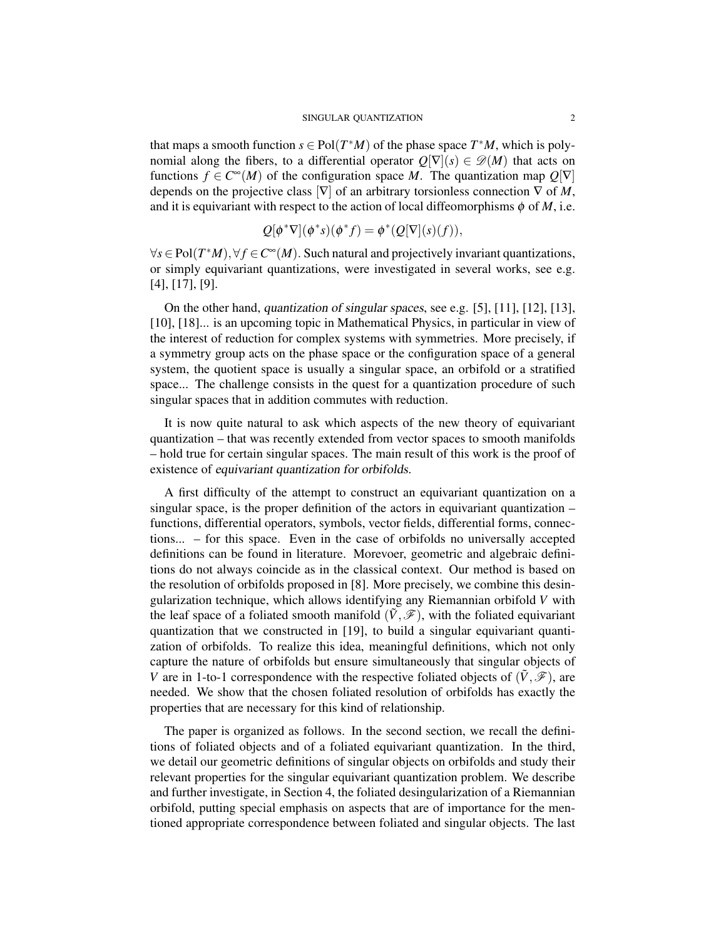that maps a smooth function  $s \in Pol(T^*M)$  of the phase space  $T^*M$ , which is polynomial along the fibers, to a differential operator  $Q[\nabla](s) \in \mathscr{D}(M)$  that acts on functions  $f \in C^{\infty}(M)$  of the configuration space *M*. The quantization map  $Q[\nabla]$ depends on the projective class  $[\nabla]$  of an arbitrary torsionless connection  $\nabla$  of *M*, and it is equivariant with respect to the action of local diffeomorphisms  $\phi$  of *M*, i.e.

$$
Q[\phi^*\nabla](\phi^*s)(\phi^*f) = \phi^*(Q[\nabla](s)(f)),
$$

 $\forall s \in Pol(T^*M), \forall f \in C^{\infty}(M)$ . Such natural and projectively invariant quantizations, or simply equivariant quantizations, were investigated in several works, see e.g. [4], [17], [9].

On the other hand, quantization of singular spaces, see e.g. [5], [11], [12], [13], [10], [18]... is an upcoming topic in Mathematical Physics, in particular in view of the interest of reduction for complex systems with symmetries. More precisely, if a symmetry group acts on the phase space or the configuration space of a general system, the quotient space is usually a singular space, an orbifold or a stratified space... The challenge consists in the quest for a quantization procedure of such singular spaces that in addition commutes with reduction.

It is now quite natural to ask which aspects of the new theory of equivariant quantization – that was recently extended from vector spaces to smooth manifolds – hold true for certain singular spaces. The main result of this work is the proof of existence of equivariant quantization for orbifolds.

A first difficulty of the attempt to construct an equivariant quantization on a singular space, is the proper definition of the actors in equivariant quantization – functions, differential operators, symbols, vector fields, differential forms, connections... – for this space. Even in the case of orbifolds no universally accepted definitions can be found in literature. Morevoer, geometric and algebraic definitions do not always coincide as in the classical context. Our method is based on the resolution of orbifolds proposed in [8]. More precisely, we combine this desingularization technique, which allows identifying any Riemannian orbifold *V* with the leaf space of a foliated smooth manifold  $(\tilde{V}, \mathscr{F})$ , with the foliated equivariant quantization that we constructed in [19], to build a singular equivariant quantization of orbifolds. To realize this idea, meaningful definitions, which not only capture the nature of orbifolds but ensure simultaneously that singular objects of *V* are in 1-to-1 correspondence with the respective foliated objects of  $(\tilde{V}, \mathscr{F})$ , are needed. We show that the chosen foliated resolution of orbifolds has exactly the properties that are necessary for this kind of relationship.

The paper is organized as follows. In the second section, we recall the definitions of foliated objects and of a foliated equivariant quantization. In the third, we detail our geometric definitions of singular objects on orbifolds and study their relevant properties for the singular equivariant quantization problem. We describe and further investigate, in Section 4, the foliated desingularization of a Riemannian orbifold, putting special emphasis on aspects that are of importance for the mentioned appropriate correspondence between foliated and singular objects. The last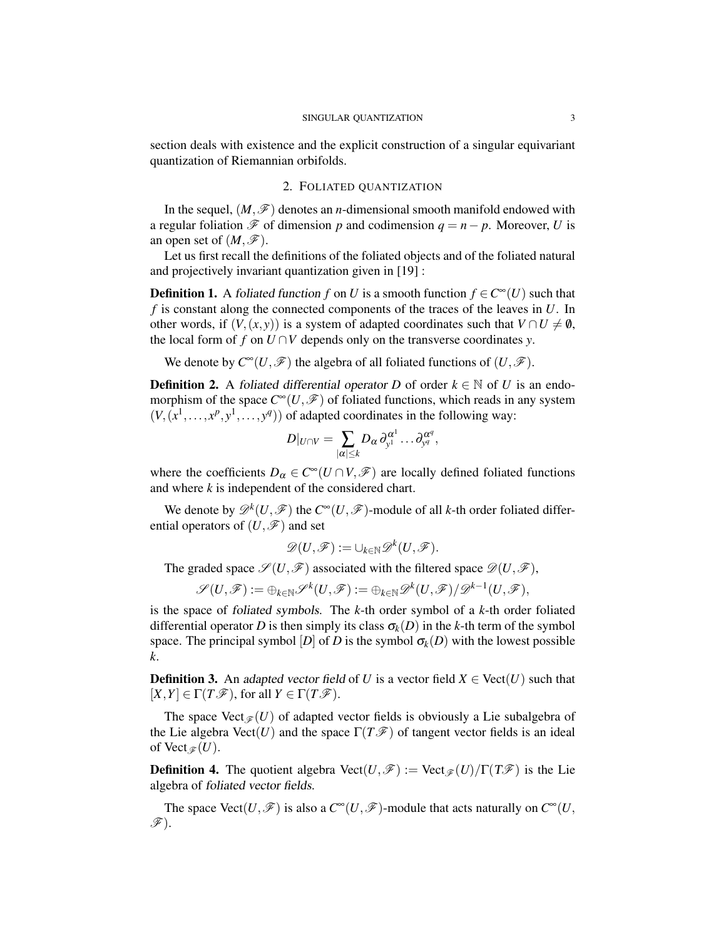section deals with existence and the explicit construction of a singular equivariant quantization of Riemannian orbifolds.

### 2. FOLIATED QUANTIZATION

In the sequel,  $(M,\mathscr{F})$  denotes an *n*-dimensional smooth manifold endowed with a regular foliation  $\mathscr F$  of dimension *p* and codimension  $q = n - p$ . Moreover, *U* is an open set of  $(M,\mathscr{F})$ .

Let us first recall the definitions of the foliated objects and of the foliated natural and projectively invariant quantization given in [19] :

**Definition 1.** A foliated function *f* on *U* is a smooth function  $f \in C^{\infty}(U)$  such that *f* is constant along the connected components of the traces of the leaves in *U*. In other words, if  $(V,(x, y))$  is a system of adapted coordinates such that  $V \cap U \neq \emptyset$ , the local form of *f* on  $U \cap V$  depends only on the transverse coordinates *y*.

We denote by  $C^{\infty}(U,\mathscr{F})$  the algebra of all foliated functions of  $(U,\mathscr{F})$ .

**Definition 2.** A foliated differential operator *D* of order  $k \in \mathbb{N}$  of *U* is an endomorphism of the space  $C^{\infty}(U,\mathscr{F})$  of foliated functions, which reads in any system  $(V, (x<sup>1</sup>,..., x<sup>p</sup>, y<sup>1</sup>,..., y<sup>q</sup>))$  of adapted coordinates in the following way:

$$
D|_{U\cap V}=\sum_{|\alpha|\leq k}D_{\alpha}\,\partial_{y^1}^{\alpha^1}\ldots \partial_{y^q}^{\alpha^q},
$$

where the coefficients  $D_{\alpha} \in C^{\infty}(U \cap V, \mathscr{F})$  are locally defined foliated functions and where *k* is independent of the considered chart.

We denote by  $\mathscr{D}^k(U,\mathscr{F})$  the  $C^\infty(U,\mathscr{F})$ -module of all *k*-th order foliated differential operators of  $(U, \mathscr{F})$  and set

$$
\mathscr{D}(U,\mathscr{F}):=\cup_{k\in\mathbb{N}}\mathscr{D}^k(U,\mathscr{F}).
$$

The graded space  $\mathscr{S}(U,\mathscr{F})$  associated with the filtered space  $\mathscr{D}(U,\mathscr{F})$ ,

$$
\mathscr{S}(U,\mathscr{F}):=\oplus_{k\in\mathbb{N}}\mathscr{S}^k(U,\mathscr{F}):=\oplus_{k\in\mathbb{N}}\mathscr{D}^k(U,\mathscr{F})/\mathscr{D}^{k-1}(U,\mathscr{F}),
$$

is the space of foliated symbols. The *k*-th order symbol of a *k*-th order foliated differential operator *D* is then simply its class  $\sigma_k(D)$  in the *k*-th term of the symbol space. The principal symbol  $[D]$  of *D* is the symbol  $\sigma_k(D)$  with the lowest possible *k*.

**Definition 3.** An adapted vector field of *U* is a vector field  $X \in \text{Vect}(U)$  such that  $[X, Y] \in \Gamma(T\mathscr{F})$ , for all  $Y \in \Gamma(T\mathscr{F})$ .

The space Vect<sub> $\mathcal{F}(U)$ </sub> of adapted vector fields is obviously a Lie subalgebra of the Lie algebra  $\text{Vect}(U)$  and the space  $\Gamma(T\mathcal{F})$  of tangent vector fields is an ideal of Vect<sub> $\mathscr{F}(U)$ .</sub>

**Definition 4.** The quotient algebra  $Vect(U,\mathcal{F}) := Vect(\mathcal{F}(U)/\Gamma(T\mathcal{F}))$  is the Lie algebra of foliated vector fields.

The space Vect $(U, \mathscr{F})$  is also a  $C^{\infty}(U, \mathscr{F})$ -module that acts naturally on  $C^{\infty}(U, \mathscr{F})$  $\mathscr{F}$ ).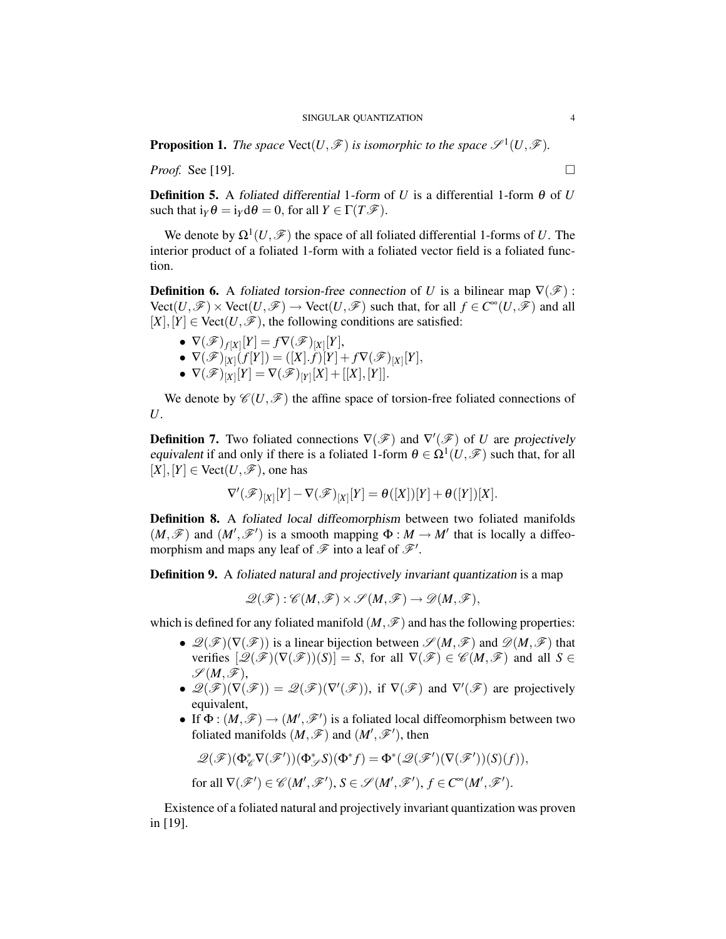**Proposition 1.** The space  $\text{Vect}(U,\mathcal{F})$  is isomorphic to the space  $\mathcal{S}^1(U,\mathcal{F})$ .

*Proof.* See [19]. □

**Definition 5.** A foliated differential 1-form of *U* is a differential 1-form  $\theta$  of *U* such that  $i_Y \theta = i_Y d\theta = 0$ , for all  $Y \in \Gamma(T \mathcal{F})$ .

We denote by  $\Omega^1(U, \mathscr{F})$  the space of all foliated differential 1-forms of *U*. The interior product of a foliated 1-form with a foliated vector field is a foliated function.

**Definition 6.** A foliated torsion-free connection of *U* is a bilinear map  $\nabla(\mathscr{F})$ :  $Vect(U,\mathscr{F})\times Vect(U,\mathscr{F})\to Vect(U,\mathscr{F})$  such that, for all  $f\in C^{\infty}(U,\mathscr{F})$  and all  $[X], [Y] \in \text{Vect}(U, \mathcal{F})$ , the following conditions are satisfied:

- $\bullet \ \nabla(\mathscr{F})_{f[X]}[Y] = f \nabla(\mathscr{F})_{[X]}[Y],$
- $\bullet \ \nabla(\mathscr{F})_{[X]}(f[Y]) = ([X].f)[Y] + f \nabla(\mathscr{F})_{[X]}[Y],$
- $\bullet \ \ \nabla(\mathscr{F})_{[X]}[Y] = \nabla(\mathscr{F})_{[Y]}[X] + [[X],[Y]].$

We denote by  $\mathscr{C}(U,\mathscr{F})$  the affine space of torsion-free foliated connections of *U*.

**Definition 7.** Two foliated connections  $\nabla$ ( $\mathcal{F}$ ) and  $\nabla$ '( $\mathcal{F}$ ) of *U* are projectively equivalent if and only if there is a foliated 1-form  $\theta \in \Omega^1(U, \mathcal{F})$  such that, for all  $[X, Y] \in \text{Vect}(U, \mathcal{F})$ , one has

$$
\nabla'(\mathscr{F})_{[X]}[Y] - \nabla(\mathscr{F})_{[X]}[Y] = \theta([X])[Y] + \theta([Y])[X].
$$

Definition 8. A foliated local diffeomorphism between two foliated manifolds  $(M,\mathscr{F})$  and  $(M',\mathscr{F}')$  is a smooth mapping  $\Phi : M \to M'$  that is locally a diffeomorphism and maps any leaf of  $\mathcal F$  into a leaf of  $\mathcal F'$ .

Definition 9. A foliated natural and projectively invariant quantization is a map

 $\mathscr{Q}(\mathscr{F}) : \mathscr{C}(M, \mathscr{F}) \times \mathscr{S}(M, \mathscr{F}) \rightarrow \mathscr{D}(M, \mathscr{F})$ 

which is defined for any foliated manifold  $(M,\mathscr{F})$  and has the following properties:

- $\mathscr{Q}(\mathscr{F})(\nabla(\mathscr{F}))$  is a linear bijection between  $\mathscr{S}(M,\mathscr{F})$  and  $\mathscr{D}(M,\mathscr{F})$  that verifies  $[\mathscr{Q}(\mathscr{F})(\nabla(\mathscr{F}))(S)] = S$ , for all  $\nabla(\mathscr{F}) \in \mathscr{C}(M, \mathscr{F})$  and all  $S \in$  $\mathscr{S}(M,\mathscr{F})$ ,
- $\mathscr{Q}(\mathscr{F})(\nabla(\mathscr{F})) = \mathscr{Q}(\mathscr{F})(\nabla'(\mathscr{F}))$ , if  $\nabla(\mathscr{F})$  and  $\nabla'(\mathscr{F})$  are projectively equivalent,
- If  $\Phi : (M, \mathcal{F}) \to (M', \mathcal{F}')$  is a foliated local diffeomorphism between two foliated manifolds  $(M, \mathscr{F})$  and  $(M', \mathscr{F}')$ , then

$$
\mathscr{Q}(\mathscr{F})(\Phi_{\mathscr{C}}^*\nabla(\mathscr{F}'))(\Phi_{\mathscr{S}}^*S)(\Phi^*f)=\Phi^*(\mathscr{Q}(\mathscr{F}')(\nabla(\mathscr{F}'))(S)(f)),
$$

for all 
$$
\nabla(\mathscr{F}') \in \mathscr{C}(M', \mathscr{F}'), S \in \mathscr{S}(M', \mathscr{F}'), f \in C^{\infty}(M', \mathscr{F}').
$$

Existence of a foliated natural and projectively invariant quantization was proven in [19].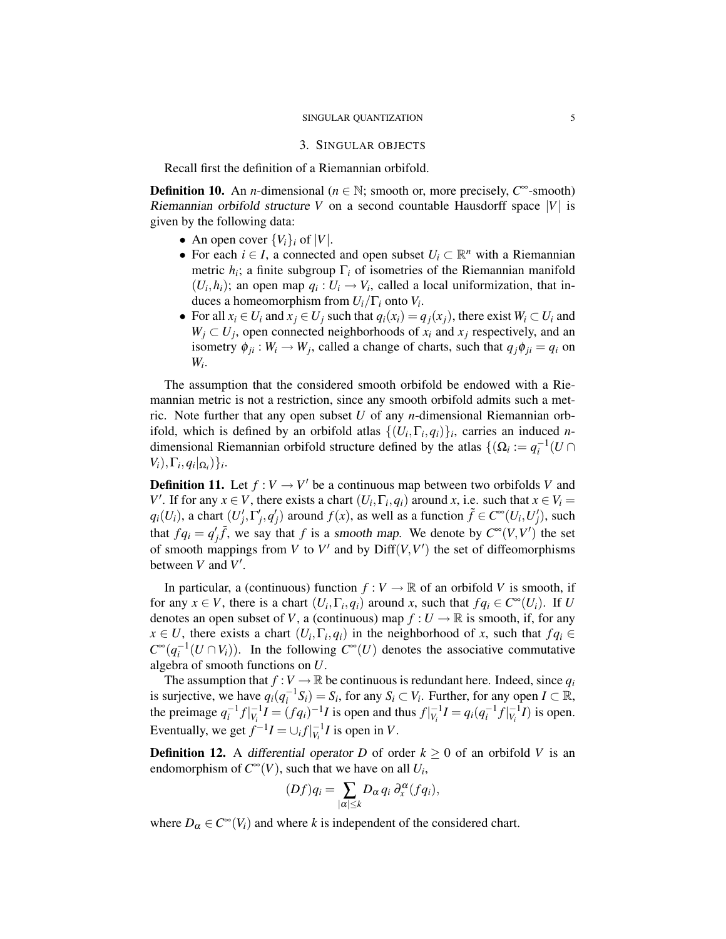#### SINGULAR QUANTIZATION 5

#### 3. SINGULAR OBJECTS

Recall first the definition of a Riemannian orbifold.

**Definition 10.** An *n*-dimensional ( $n \in \mathbb{N}$ ; smooth or, more precisely,  $C^{\infty}$ -smooth) Riemannian orbifold structure *V* on a second countable Hausdorff space |*V*| is given by the following data:

- An open cover  ${V_i}_i$  of  $|V|$ .
- For each  $i \in I$ , a connected and open subset  $U_i \subset \mathbb{R}^n$  with a Riemannian metric  $h_i$ ; a finite subgroup  $\Gamma_i$  of isometries of the Riemannian manifold  $(U_i, h_i)$ ; an open map  $q_i : U_i \to V_i$ , called a local uniformization, that induces a homeomorphism from *Ui*/Γ*<sup>i</sup>* onto *V<sup>i</sup>* .
- For all  $x_i \in U_i$  and  $x_j \in U_j$  such that  $q_i(x_i) = q_j(x_j)$ , there exist  $W_i \subset U_i$  and  $W_j \subset U_j$ , open connected neighborhoods of  $x_i$  and  $x_j$  respectively, and an isometry  $\phi_{ji}: W_i \to W_j$ , called a change of charts, such that  $q_j \phi_{ji} = q_i$  on *Wi* .

The assumption that the considered smooth orbifold be endowed with a Riemannian metric is not a restriction, since any smooth orbifold admits such a metric. Note further that any open subset *U* of any *n*-dimensional Riemannian orbifold, which is defined by an orbifold atlas  $\{(U_i, \Gamma_i, q_i)\}_i$ , carries an induced *n*dimensional Riemannian orbifold structure defined by the atlas  $\{(\Omega_i) := q_i^{-1}(U \cap$  $V_i$ ,  $\Gamma_i$ ,  $q_i$ ,  $\Omega_i$ ,  $\}$ *i*.

**Definition 11.** Let  $f: V \to V'$  be a continuous map between two orbifolds *V* and *V*'. If for any  $x \in V$ , there exists a chart  $(U_i, \Gamma_i, q_i)$  around *x*, i.e. such that  $x \in V_i$  $q_i(U_i)$ , a chart  $(U'_j, \Gamma'_j, q'_j)$  around  $f(x)$ , as well as a function  $\tilde{f} \in C^\infty(U_i, U'_j)$ , such that  $fq_i = q'_j\tilde{f}$ , we say that *f* is a smooth map. We denote by  $C^{\infty}(V, V')$  the set of smooth mappings from *V* to *V'* and by  $\text{Diff}(V, V')$  the set of diffeomorphisms between  $V$  and  $V'$ .

In particular, a (continuous) function  $f: V \to \mathbb{R}$  of an orbifold *V* is smooth, if for any  $x \in V$ , there is a chart  $(U_i, \Gamma_i, q_i)$  around *x*, such that  $fq_i \in C^{\infty}(U_i)$ . If *U* denotes an open subset of *V*, a (continuous) map  $f: U \to \mathbb{R}$  is smooth, if, for any  $x \in U$ , there exists a chart  $(U_i, \Gamma_i, q_i)$  in the neighborhood of *x*, such that  $fq_i \in$  $C^{\infty}(q_i^{-1}(U \cap V_i))$ . In the following  $C^{\infty}(U)$  denotes the associative commutative algebra of smooth functions on *U*.

The assumption that  $f: V \to \mathbb{R}$  be continuous is redundant here. Indeed, since  $q_i$ is surjective, we have  $q_i(q_i^{-1}S_i) = S_i$ , for any  $S_i \subset V_i$ . Further, for any open  $I \subset \mathbb{R}$ , the preimage  $q_i^{-1}f|_{V_i}^{-1}I = (fq_i)^{-1}I$  is open and thus  $f|_{V_i}^{-1}I = q_i(q_i^{-1}f|_{V_i}^{-1}I)$  is open. Eventually, we get  $f^{-1}I = \bigcup_i f \big|_{V_i}^{-1}I$  is open in *V*.

**Definition 12.** A differential operator *D* of order  $k \geq 0$  of an orbifold *V* is an endomorphism of  $C^{\infty}(V)$ , such that we have on all  $U_i$ ,

$$
(Df)q_i = \sum_{|\alpha| \leq k} D_{\alpha} q_i \partial_x^{\alpha} (fq_i),
$$

where  $D_{\alpha} \in C^{\infty}(V_i)$  and where *k* is independent of the considered chart.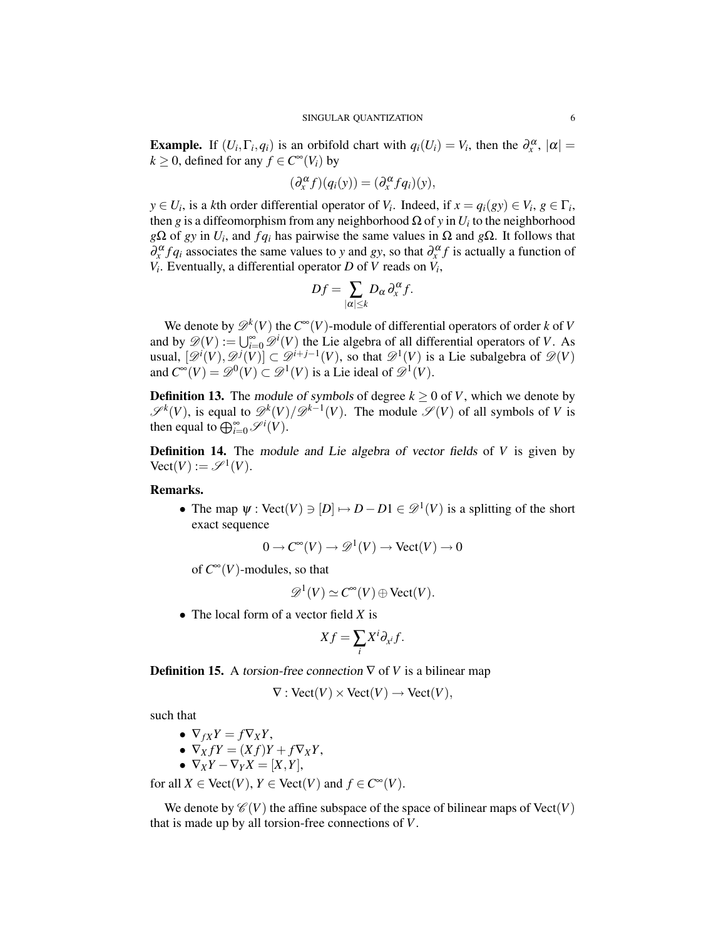**Example.** If  $(U_i, \Gamma_i, q_i)$  is an orbifold chart with  $q_i(U_i) = V_i$ , then the  $\partial_x^{\alpha}$ ,  $|\alpha| =$ *k* ≥ 0, defined for any *f* ∈  $C^{\infty}(V_i)$  by

$$
(\partial_x^{\alpha} f)(q_i(y)) = (\partial_x^{\alpha} f q_i)(y),
$$

 $y \in U_i$ , is a *k*th order differential operator of *V*<sub>*i*</sub>. Indeed, if  $x = q_i(gy) \in V_i$ ,  $g \in \Gamma_i$ , then *g* is a diffeomorphism from any neighborhood  $\Omega$  of *y* in *U<sub>i</sub>* to the neighborhood  $g\Omega$  of *gy* in *U<sub>i</sub>*, and *f q<sub>i</sub>* has pairwise the same values in  $\Omega$  and  $g\Omega$ . It follows that  $\partial_x^{\alpha} f q_i$  associates the same values to *y* and *gy*, so that  $\partial_x^{\alpha} f$  is actually a function of  $V_i$ . Eventually, a differential operator *D* of *V* reads on  $V_i$ ,

$$
Df = \sum_{|\alpha| \leq k} D_{\alpha} \partial_x^{\alpha} f.
$$

We denote by  $\mathscr{D}^k(V)$  the  $C^{\infty}(V)$ -module of differential operators of order *k* of *V* and by  $\mathscr{D}(V) := \bigcup_{i=0}^{\infty} \mathscr{D}^i(V)$  the Lie algebra of all differential operators of *V*. As usual,  $[\mathscr{D}^i(V), \mathscr{D}^j(V)] \subset \mathscr{D}^{i+j-1}(V)$ , so that  $\mathscr{D}^1(V)$  is a Lie subalgebra of  $\mathscr{D}(V)$ and  $C^{\infty}(V) = \mathscr{D}^0(V) \subset \mathscr{D}^1(V)$  is a Lie ideal of  $\mathscr{D}^1(V)$ .

**Definition 13.** The module of symbols of degree  $k \geq 0$  of *V*, which we denote by  $\mathscr{S}^k(V)$ , is equal to  $\mathscr{D}^k(V)/\mathscr{D}^{k-1}(V)$ . The module  $\mathscr{S}(V)$  of all symbols of *V* is then equal to  $\bigoplus_{i=0}^{\infty} \mathcal{S}^i(V)$ .

Definition 14. The module and Lie algebra of vector fields of *V* is given by  $\text{Vect}(V) := \mathscr{S}^1(V).$ 

# Remarks.

• The map  $\psi$ : Vect(*V*)  $\ni$   $[D] \mapsto D - D1 \in \mathcal{D}^1$  (*V*) is a splitting of the short exact sequence

 $0 \to C^{\infty}(V) \to \mathscr{D}^1(V) \to \text{Vect}(V) \to 0$ 

of  $C^{\infty}(V)$ -modules, so that

$$
\mathscr{D}^1(V) \simeq C^{\infty}(V) \oplus \text{Vect}(V).
$$

• The local form of a vector field *X* is

$$
Xf=\sum_i X^i\partial_{x^i}f.
$$

**Definition 15.** A torsion-free connection  $\nabla$  of *V* is a bilinear map

$$
\nabla : \text{Vect}(V) \times \text{Vect}(V) \to \text{Vect}(V),
$$

such that

$$
\bullet \ \nabla_{fX} Y = f \nabla_X Y,
$$

• 
$$
\nabla_X fY = (Xf)Y + f\nabla_X Y,
$$

$$
\bullet \ \nabla_X Y - \nabla_Y X = [X, Y],
$$

for all  $X \in \text{Vect}(V)$ ,  $Y \in \text{Vect}(V)$  and  $f \in C^{\infty}(V)$ .

We denote by  $\mathcal{C}(V)$  the affine subspace of the space of bilinear maps of Vect(*V*) that is made up by all torsion-free connections of *V*.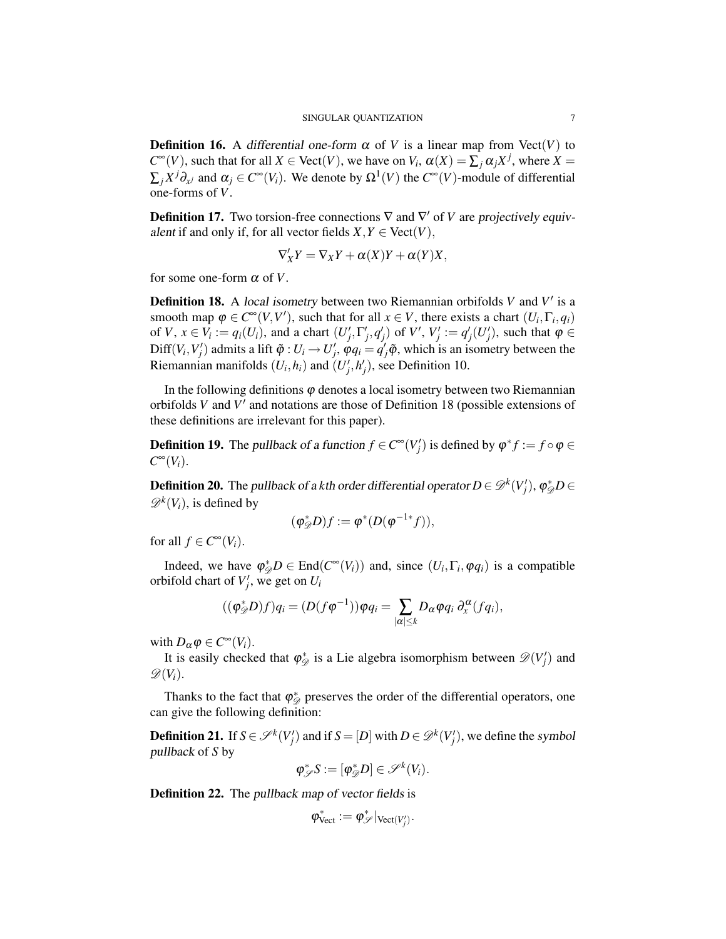**Definition 16.** A differential one-form  $\alpha$  of *V* is a linear map from Vect(*V*) to  $C^{\infty}(V)$ , such that for all  $X \in \text{Vect}(V)$ , we have on  $V_i$ ,  $\alpha(X) = \sum_j \alpha_j X^j$ , where  $X =$  $\sum_j X^j \partial_{x^j}$  and  $\alpha_j \in C^\infty(V_i)$ . We denote by  $\Omega^1(V)$  the  $C^\infty(V)$ -module of differential one-forms of *V*.

**Definition 17.** Two torsion-free connections  $\nabla$  and  $\nabla'$  of *V* are projectively equivalent if and only if, for all vector fields  $X, Y \in \text{Vect}(V)$ ,

$$
\nabla'_X Y = \nabla_X Y + \alpha(X) Y + \alpha(Y) X,
$$

for some one-form  $\alpha$  of *V*.

**Definition 18.** A local isometry between two Riemannian orbifolds  $V$  and  $V'$  is a smooth map  $\varphi \in C^{\infty}(V, V')$ , such that for all  $x \in V$ , there exists a chart  $(U_i, \Gamma_i, q_i)$ of V,  $x \in V_i := q_i(U_i)$ , and a chart  $(U'_j, \Gamma'_j, q'_j)$  of V',  $V'_j := q'_j(U'_j)$ , such that  $\varphi \in$ Diff $(V_i, V'_j)$  admits a lift  $\tilde{\varphi}: U_i \to U'_j$ ,  $\varphi q_i = q'_j \tilde{\varphi}$ , which is an isometry between the Riemannian manifolds  $(U_i, h_i)$  and  $(U'_j, h'_j)$ , see Definition 10.

In the following definitions  $\varphi$  denotes a local isometry between two Riemannian orbifolds  $V$  and  $V'$  and notations are those of Definition 18 (possible extensions of these definitions are irrelevant for this paper).

**Definition 19.** The pullback of a function  $f \in C^{\infty}(V'_j)$  is defined by  $\varphi^* f := f \circ \varphi \in C^{\infty}(V'_j)$  $C^{\infty}(V_i)$ .

**Definition 20.** The pullback of a kth order differential operator  $D \in \mathscr{D}^k(V_j'),$   $\varphi_{\mathscr{D}}^* D \in$  $\mathscr{D}^k(V_i)$ , is defined by

$$
(\varphi_{\mathcal{D}}^*D)f := \varphi^*(D(\varphi^{-1*}f)),
$$

for all  $f \in C^{\infty}(V_i)$ .

Indeed, we have  $\varphi_{\mathscr{D}}^* D \in \text{End}(C^{\infty}(V_i))$  and, since  $(U_i, \Gamma_i, \varphi q_i)$  is a compatible orbifold chart of  $V'_j$ , we get on  $U_i$ 

$$
((\varphi_{\mathscr{D}}^*D)f)q_i=(D(f\varphi^{-1}))\varphi q_i=\sum_{|\alpha|\leq k}D_{\alpha}\varphi q_i\,\partial_x^{\alpha}(fq_i),
$$

with  $D_{\alpha} \varphi \in C^{\infty}(V_i)$ .

It is easily checked that  $\varphi_{\mathscr{D}}^*$  is a Lie algebra isomorphism between  $\mathscr{D}(V'_j)$  and  $\mathscr{D}(V_i)$ .

Thanks to the fact that  $\varphi_{\mathcal{D}}^*$  preserves the order of the differential operators, one can give the following definition:

**Definition 21.** If  $S \in \mathcal{S}^k(V_j')$  and if  $S = [D]$  with  $D \in \mathcal{D}^k(V_j')$ , we define the symbol pullback of *S* by

$$
\varphi_{\mathscr{S}}^*S := [\varphi_{\mathscr{D}}^*D] \in \mathscr{S}^k(V_i).
$$

**Definition 22.** The pullback map of vector fields is

$$
\varphi_{\text{Vect}}^* := \varphi_{\mathscr{S}}^*|_{\text{Vect}(V'_j)}.
$$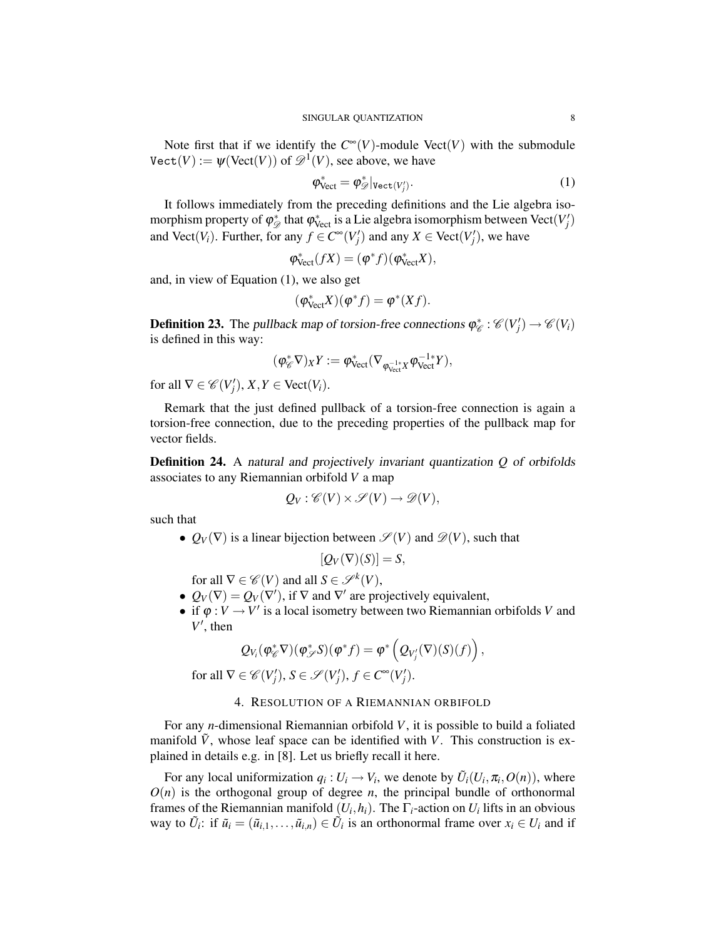Note first that if we identify the  $C^{\infty}(V)$ -module Vect(*V*) with the submodule  $\text{Vect}(V) := \psi(\text{Vect}(V))$  of  $\mathscr{D}^1(V)$ , see above, we have

$$
\varphi_{\text{Vect}}^* = \varphi_{\mathscr{D}}^*|_{\text{Vect}(V'_j)}.
$$
\n(1)

It follows immediately from the preceding definitions and the Lie algebra isomorphism property of  $\varphi^*_{\mathscr{D}}$  that  $\varphi^*_{\text{Vect}}$  is a Lie algebra isomorphism between  $\text{Vect}(V'_j)$ and Vect(*V<sub>i</sub>*). Further, for any  $f \in C^{\infty}(V'_j)$  and any  $X \in \text{Vect}(V'_j)$ , we have

$$
\varphi^*_{\text{Vect}}(fX) = (\varphi^* f)(\varphi^*_{\text{Vect}} X),
$$

and, in view of Equation (1), we also get

$$
(\varphi_{\text{Vect}}^* X)(\varphi^* f) = \varphi^* (Xf).
$$

**Definition 23.** The pullback map of torsion-free connections  $\varphi_{\mathscr{C}}^* : \mathscr{C}(V'_j) \to \mathscr{C}(V_i)$ is defined in this way:

$$
(\varphi^*_{\mathscr{C}} \nabla)_X Y := \varphi^*_{\text{Vect}}(\nabla_{\varphi_{\text{Vect}}^{-1*}X} \varphi_{\text{Vect}}^{-1*} Y),
$$

for all  $\nabla \in \mathcal{C}(V'_j)$ ,  $X, Y \in \text{Vect}(V_i)$ .

Remark that the just defined pullback of a torsion-free connection is again a torsion-free connection, due to the preceding properties of the pullback map for vector fields.

Definition 24. A natural and projectively invariant quantization *Q* of orbifolds associates to any Riemannian orbifold *V* a map

$$
Q_V: \mathscr{C}(V) \times \mathscr{S}(V) \to \mathscr{D}(V),
$$

such that

•  $Q_V(\nabla)$  is a linear bijection between  $\mathscr{S}(V)$  and  $\mathscr{D}(V)$ , such that

$$
[Q_V(\nabla)(S)] = S,
$$

for all  $\nabla \in \mathcal{C}(V)$  and all  $S \in \mathcal{S}^k(V)$ ,

- $Q_V(\nabla) = Q_V(\nabla')$ , if  $\nabla$  and  $\nabla'$  are projectively equivalent,
- if  $\varphi: V \to V'$  is a local isometry between two Riemannian orbifolds *V* and  $V'$ , then

$$
Q_{V_i}(\varphi^*_{\mathscr{C}}\nabla)(\varphi^*_{\mathscr{S}}S)(\varphi^*f)=\varphi^*\left(Q_{V'_j}(\nabla)(S)(f)\right),
$$

for all  $\nabla \in \mathcal{C}(V'_j)$ ,  $S \in \mathcal{S}(V'_j)$ ,  $f \in C^{\infty}(V'_j)$ .

## 4. RESOLUTION OF A RIEMANNIAN ORBIFOLD

For any *n*-dimensional Riemannian orbifold *V*, it is possible to build a foliated manifold  $\tilde{V}$ , whose leaf space can be identified with *V*. This construction is explained in details e.g. in [8]. Let us briefly recall it here.

For any local uniformization  $q_i: U_i \to V_i$ , we denote by  $\tilde{U}_i(U_i, \pi_i, O(n))$ , where  $O(n)$  is the orthogonal group of degree *n*, the principal bundle of orthonormal frames of the Riemannian manifold  $(U_i, h_i)$ . The  $\Gamma_i$ -action on  $U_i$  lifts in an obvious way to  $\tilde{U}_i$ : if  $\tilde{u}_i = (\tilde{u}_{i,1}, \ldots, \tilde{u}_{i,n}) \in \tilde{U}_i$  is an orthonormal frame over  $x_i \in U_i$  and if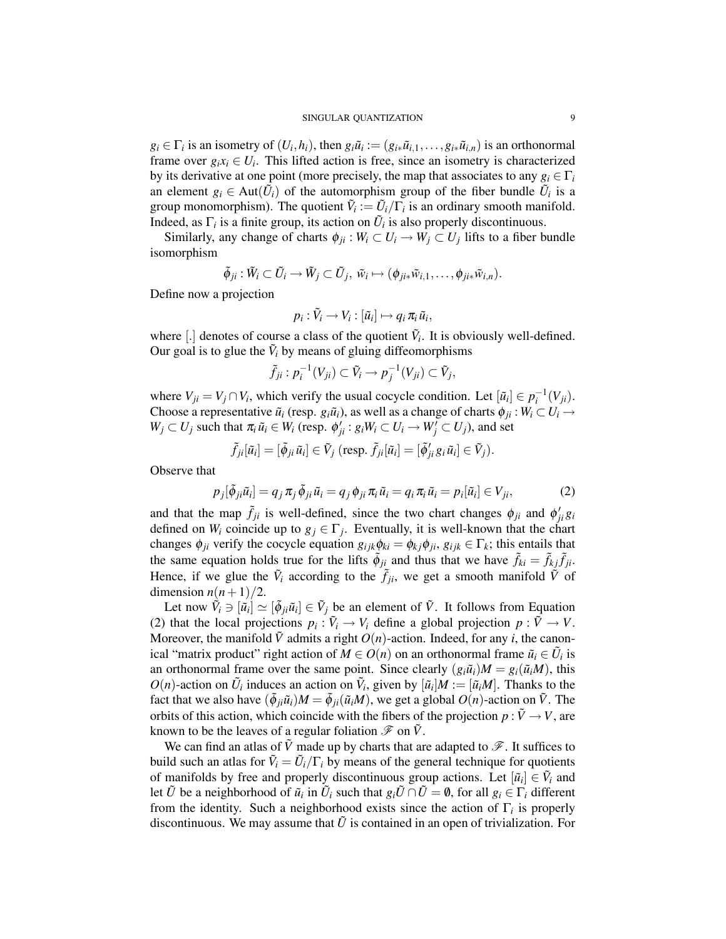$g_i \in \Gamma_i$  is an isometry of  $(U_i, h_i)$ , then  $g_i \tilde{u}_i := (g_{i*} \tilde{u}_{i,1}, \dots, g_{i*} \tilde{u}_{i,n})$  is an orthonormal frame over  $g_i x_i \in U_i$ . This lifted action is free, since an isometry is characterized by its derivative at one point (more precisely, the map that associates to any  $g_i \in \Gamma_i$ an element  $g_i \in Aut(\tilde{U}_i)$  of the automorphism group of the fiber bundle  $\tilde{U}_i$  is a group monomorphism). The quotient  $\tilde{V}_i := \tilde{U}_i/\Gamma_i$  is an ordinary smooth manifold. Indeed, as  $\Gamma_i$  is a finite group, its action on  $\tilde{U}_i$  is also properly discontinuous.

Similarly, any change of charts  $\phi_{ji}$ :  $W_i \subset U_i \to W_j \subset U_j$  lifts to a fiber bundle isomorphism

$$
\tilde{\phi}_{ji} : \tilde{W}_i \subset \tilde{U}_i \longrightarrow \tilde{W}_j \subset \tilde{U}_j, \ \tilde{w}_i \mapsto (\phi_{j i*} \tilde{w}_{i,1}, \dots, \phi_{j i*} \tilde{w}_{i,n}).
$$

Define now a projection

$$
p_i:\tilde{V}_i\to V_i:[\tilde{u}_i]\mapsto q_i\,\pi_i\,\tilde{u}_i,
$$

where  $[.]$  denotes of course a class of the quotient  $\tilde{V}_i$ . It is obviously well-defined. Our goal is to glue the  $\tilde{V}_i$  by means of gluing diffeomorphisms

$$
\tilde{f}_{ji}: p_i^{-1}(V_{ji}) \subset \tilde{V}_i \to p_j^{-1}(V_{ji}) \subset \tilde{V}_j,
$$

where  $V_{ji} = V_j \cap V_i$ , which verify the usual cocycle condition. Let  $[\tilde{u}_i] \in p_i^{-1}(V_{ji})$ . Choose a representative  $\tilde{u}_i$  (resp.  $g_i\tilde{u}_i$ ), as well as a change of charts  $\phi_{ji}: W_i \subset U_i \to$  $W_j \subset U_j$  such that  $\pi_i \tilde{u}_i \in W_i$  (resp.  $\phi'_{ji} : g_i W_i \subset U_i \to W'_j \subset U_j$ ), and set

$$
\tilde{f}_{ji}[\tilde{u}_i] = [\tilde{\phi}_{ji}\tilde{u}_i] \in \tilde{V}_j \text{ (resp. } \tilde{f}_{ji}[\tilde{u}_i] = [\tilde{\phi}'_{ji}g_i\tilde{u}_i] \in \tilde{V}_j).
$$

Observe that

$$
p_j[\tilde{\phi}_{ji}\tilde{u}_i] = q_j \pi_j \tilde{\phi}_{ji}\tilde{u}_i = q_j \phi_{ji} \pi_i \tilde{u}_i = q_i \pi_i \tilde{u}_i = p_i[\tilde{u}_i] \in V_{ji},
$$
\n(2)

and that the map  $\tilde{f}_{ji}$  is well-defined, since the two chart changes  $\phi_{ji}$  and  $\phi'_{ji}g_i$ defined on  $W_i$  coincide up to  $g_j \in \Gamma_j$ . Eventually, it is well-known that the chart changes  $\phi_{ji}$  verify the cocycle equation  $g_{ijk}\phi_{ki} = \phi_{kj}\phi_{ji}$ ,  $g_{ijk} \in \Gamma_k$ ; this entails that the same equation holds true for the lifts  $\tilde{\phi}_{ji}$  and thus that we have  $\tilde{f}_{ki} = \tilde{f}_{kj}\tilde{f}_{ji}$ . Hence, if we glue the  $\tilde{V}_i$  according to the  $\tilde{f}_{ji}$ , we get a smooth manifold  $\tilde{V}$  of dimension  $n(n+1)/2$ .

Let now  $\hat{V}_i \ni [\tilde{u}_i] \simeq [\tilde{\phi}_{ji}\tilde{u}_i] \in \tilde{V}_j$  be an element of  $\tilde{V}$ . It follows from Equation (2) that the local projections  $p_i : \tilde{V}_i \to V_i$  define a global projection  $p : \tilde{V} \to V$ . Moreover, the manifold  $\tilde{V}$  admits a right  $O(n)$ -action. Indeed, for any *i*, the canonical "matrix product" right action of  $M \in O(n)$  on an orthonormal frame  $\tilde{u}_i \in \tilde{U}_i$  is an orthonormal frame over the same point. Since clearly  $(g_i\tilde{u}_i)M = g_i(\tilde{u}_iM)$ , this  $O(n)$ -action on  $\tilde{U}_i$  induces an action on  $\tilde{V}_i$ , given by  $[\tilde{u}_i]M := [\tilde{u}_iM]$ . Thanks to the fact that we also have  $(\tilde{\phi}_{ji}\tilde{u}_i)M = \tilde{\phi}_{ji}(\tilde{u}_iM)$ , we get a global  $O(n)$ -action on  $\tilde{V}$ . The orbits of this action, which coincide with the fibers of the projection  $p : \tilde{V} \to V$ , are known to be the leaves of a regular foliation  $\mathscr F$  on  $\tilde V$ .

We can find an atlas of  $\tilde{V}$  made up by charts that are adapted to  $\mathscr{F}$ . It suffices to build such an atlas for  $\tilde{V}_i = \tilde{U}_i/\Gamma_i$  by means of the general technique for quotients of manifolds by free and properly discontinuous group actions. Let  $[\tilde{u}_i] \in \tilde{V}_i$  and let  $\tilde{U}$  be a neighborhood of  $\tilde{u}_i$  in  $\tilde{U}_i$  such that  $g_i\tilde{U} \cap \tilde{U} = \emptyset$ , for all  $g_i \in \Gamma_i$  different from the identity. Such a neighborhood exists since the action of  $\Gamma$ <sub>*i*</sub> is properly discontinuous. We may assume that  $\tilde{U}$  is contained in an open of trivialization. For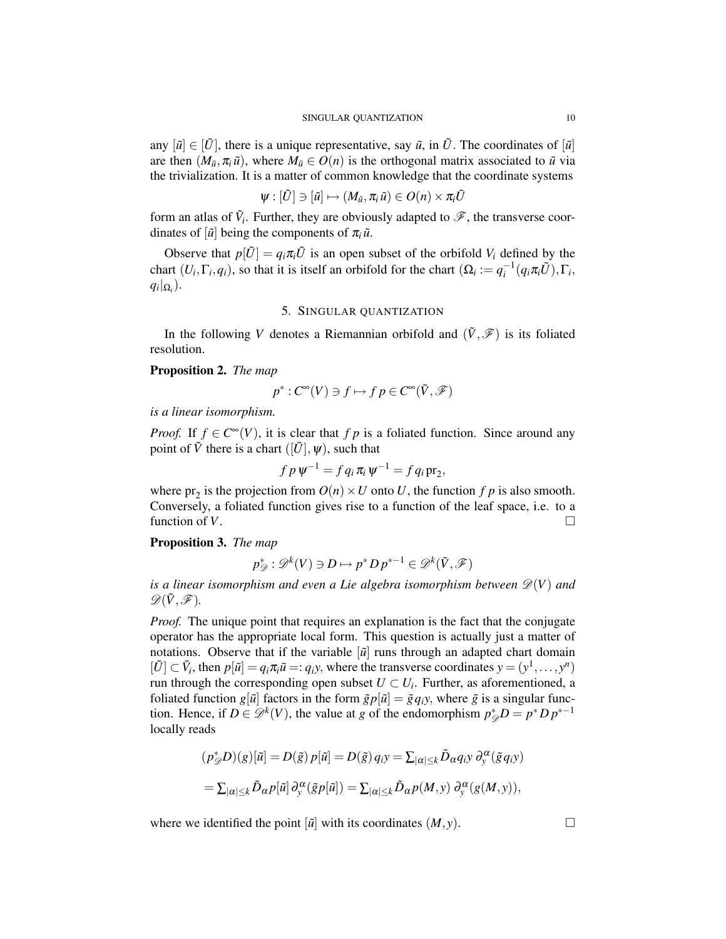any  $[\tilde{u}] \in [\tilde{U}]$ , there is a unique representative, say  $\tilde{u}$ , in  $\tilde{U}$ . The coordinates of  $[\tilde{u}]$ are then  $(M_{\tilde{u}}, \pi_i \tilde{u})$ , where  $M_{\tilde{u}} \in O(n)$  is the orthogonal matrix associated to  $\tilde{u}$  via the trivialization. It is a matter of common knowledge that the coordinate systems

$$
\psi:[\tilde{U}]\ni [\tilde{u}]\mapsto (M_{\tilde{u}},\pi_{i}\tilde{u})\in O(n)\times \pi_{i}\tilde{U}
$$

form an atlas of  $\tilde{V}_i$ . Further, they are obviously adapted to  $\mathscr{F}$ , the transverse coordinates of  $\left[\tilde{u}\right]$  being the components of  $\pi_i \tilde{u}$ .

Observe that  $p[\tilde{U}] = q_i \pi_i \tilde{U}$  is an open subset of the orbifold  $V_i$  defined by the chart  $(U_i, \Gamma_i, q_i)$ , so that it is itself an orbifold for the chart  $(\Omega_i := q_i^{-1}(q_i \pi_i \tilde{U}), \Gamma_i,$  $q_i|_{\Omega_i}$ ).

### 5. SINGULAR QUANTIZATION

In the following *V* denotes a Riemannian orbifold and  $(\tilde{V}, \mathscr{F})$  is its foliated resolution.

## Proposition 2. *The map*

$$
p^*: C^{\infty}(V) \ni f \mapsto f \, p \in C^{\infty}(\tilde{V}, \mathscr{F})
$$

*is a linear isomorphism.*

*Proof.* If  $f \in C^{\infty}(V)$ , it is clear that  $f p$  is a foliated function. Since around any point of  $\tilde{V}$  there is a chart  $([\tilde{U}], \psi)$ , such that

$$
f p \psi^{-1} = f q_i \pi_i \psi^{-1} = f q_i \operatorname{pr}_2,
$$

where  $pr_2$  is the projection from  $O(n) \times U$  onto *U*, the function *f p* is also smooth. Conversely, a foliated function gives rise to a function of the leaf space, i.e. to a function of *V*.

### Proposition 3. *The map*

$$
p_{\mathscr{D}}^* : \mathscr{D}^k(V) \ni D \mapsto p^* D p^{*-1} \in \mathscr{D}^k(\tilde{V}, \mathscr{F})
$$

*is a linear isomorphism and even a Lie algebra isomorphism between*  $\mathscr{D}(V)$  *and*  $\mathscr{D}(\tilde{V},\mathscr{F}).$ 

*Proof.* The unique point that requires an explanation is the fact that the conjugate operator has the appropriate local form. This question is actually just a matter of notations. Observe that if the variable  $\left[\tilde{u}\right]$  runs through an adapted chart domain  $[\tilde{U}] \subset \tilde{V}_i$ , then  $p[\tilde{u}] = q_i \pi_i \tilde{u} =: q_i y$ , where the transverse coordinates  $y = (y^1, \dots, y^n)$ run through the corresponding open subset  $U \subset U_i$ . Further, as aforementioned, a foliated function  $g[\tilde{u}]$  factors in the form  $\tilde{g}p[\tilde{u}] = \tilde{g}q_i y$ , where  $\tilde{g}$  is a singular function. Hence, if  $D \in \mathcal{D}^k(V)$ , the value at *g* of the endomorphism  $p_{\mathcal{D}}^*D = p^*Dp^{*-1}$ locally reads

$$
(p^*_{\mathscr{D}}D)(g)[\tilde{u}] = D(\tilde{g}) p[\tilde{u}] = D(\tilde{g}) q_i y = \sum_{|\alpha| \leq k} \tilde{D}_{\alpha} q_i y \partial_y^{\alpha} (\tilde{g} q_i y)
$$
  
=  $\sum_{|\alpha| \leq k} \tilde{D}_{\alpha} p[\tilde{u}] \partial_y^{\alpha} (\tilde{g} p[\tilde{u}]) = \sum_{|\alpha| \leq k} \tilde{D}_{\alpha} p(M, y) \partial_y^{\alpha} (g(M, y)),$ 

where we identified the point  $[\tilde{u}]$  with its coordinates  $(M, y)$ .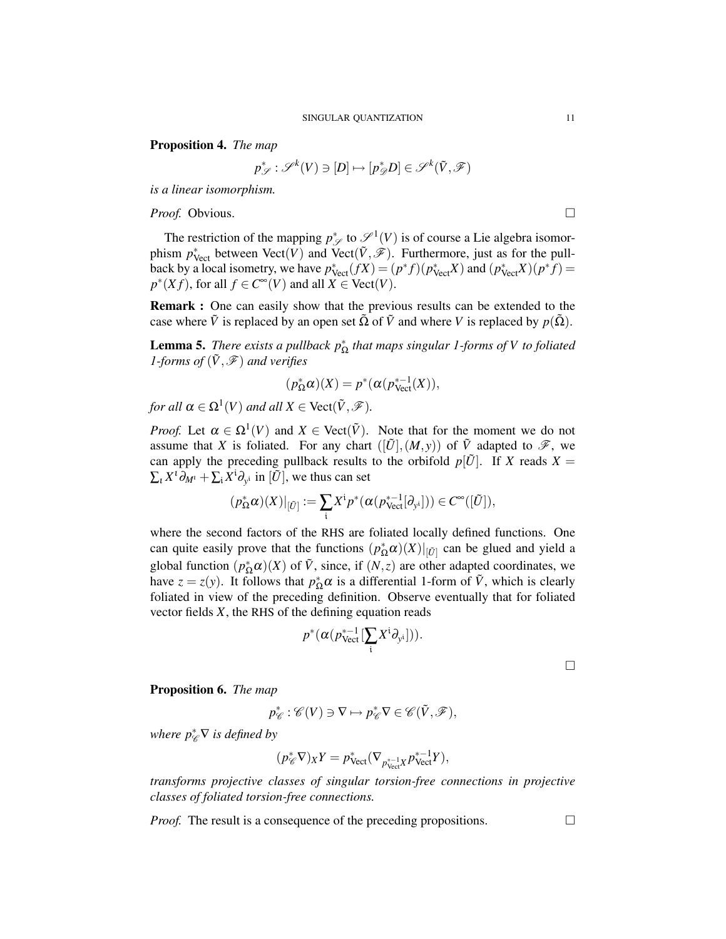Proposition 4. *The map*

$$
p^*_{\mathscr{S}}:\mathscr{S}^k(V)\ni [D]\mapsto [p^*_{\mathscr{D}}D]\in \mathscr{S}^k(\tilde{V},\mathscr{F})
$$

*is a linear isomorphism.*

*Proof.* Obvious. □

The restriction of the mapping  $p^*_{\mathscr{S}}$  to  $\mathscr{S}^1(V)$  is of course a Lie algebra isomorphism  $p^*_{\text{Vect}}$  between  $\text{Vect}(V)$  and  $\text{Vect}(\tilde{V}, \mathscr{F})$ . Furthermore, just as for the pullback by a local isometry, we have  $p_{\text{Vect}}^*(fX) = (p^*f)(p_{\text{Vect}}^*X)$  and  $(p_{\text{Vect}}^*X)(p^*f) =$  $p^*(Xf)$ , for all  $f \in C^\infty(V)$  and all  $X \in \text{Vect}(V)$ .

Remark : One can easily show that the previous results can be extended to the case where  $\tilde{V}$  is replaced by an open set  $\tilde{\Omega}$  of  $\tilde{V}$  and where *V* is replaced by  $p(\tilde{\Omega})$ .

**Lemma 5.** *There exists a pullback*  $p_{\Omega}^*$  *that maps singular 1-forms of V to foliated 1-forms of*  $(\tilde{V}, \mathcal{F})$  *and verifies* 

$$
(p_{\Omega}^*\alpha)(X) = p^*(\alpha(p_{\text{Vect}}^{*-1}(X)),
$$

*for all*  $\alpha \in \Omega^1(V)$  *and all*  $X \in \text{Vect}(\tilde{V}, \mathscr{F})$ *.* 

*Proof.* Let  $\alpha \in \Omega^1(V)$  and  $X \in \text{Vect}(\tilde{V})$ . Note that for the moment we do not assume that *X* is foliated. For any chart  $([\tilde{U}], (M, y))$  of  $\tilde{V}$  adapted to  $\mathscr{F}$ , we can apply the preceding pullback results to the orbifold  $p[\tilde{U}]$ . If *X* reads  $X =$  $\sum_{l} X^{l} \partial_{M^{l}} + \sum_{i} X^{i} \partial_{y^{i}}$  in  $[\tilde{U}]$ , we thus can set

$$
(p_{\Omega}^*\alpha)(X)|_{[\tilde{U}]} := \sum_i X^i p^*(\alpha(p_{\text{Vect}}^{*-1}[\partial_{y^i}])) \in C^{\infty}([\tilde{U}]),
$$

where the second factors of the RHS are foliated locally defined functions. One can quite easily prove that the functions  $(p_{\Omega}^*\alpha)(X)|_{[\tilde{U}]}$  can be glued and yield a global function  $(p_{\Omega}^*\alpha)(X)$  of  $\tilde{V}$ , since, if  $(N, z)$  are other adapted coordinates, we have  $z = z(y)$ . It follows that  $p_{\Omega}^* \alpha$  is a differential 1-form of  $\tilde{V}$ , which is clearly foliated in view of the preceding definition. Observe eventually that for foliated vector fields *X*, the RHS of the defining equation reads

$$
p^*(\alpha(p_{\text{Vect}}^{*-1}[\sum_i X^i \partial_{y^i}])).
$$

 $\Box$ 

Proposition 6. *The map*

$$
p_{\mathscr{C}}^*:\mathscr{C}(V)\ni \nabla\mapsto p_{\mathscr{C}}^*\nabla\in \mathscr{C}(\tilde{V},\mathscr{F}),
$$

*where p<sup>∗</sup><sub>€</sub>* $\nabla$  *is defined by* 

$$
(p^*_\mathscr{C} \nabla)_X Y = p^*_\text{Vect}(\nabla_{p^{*-1}_\text{Vect} X} p^{*-1}_\text{Vect} Y),
$$

*transforms projective classes of singular torsion-free connections in projective classes of foliated torsion-free connections.*

*Proof.* The result is a consequence of the preceding propositions.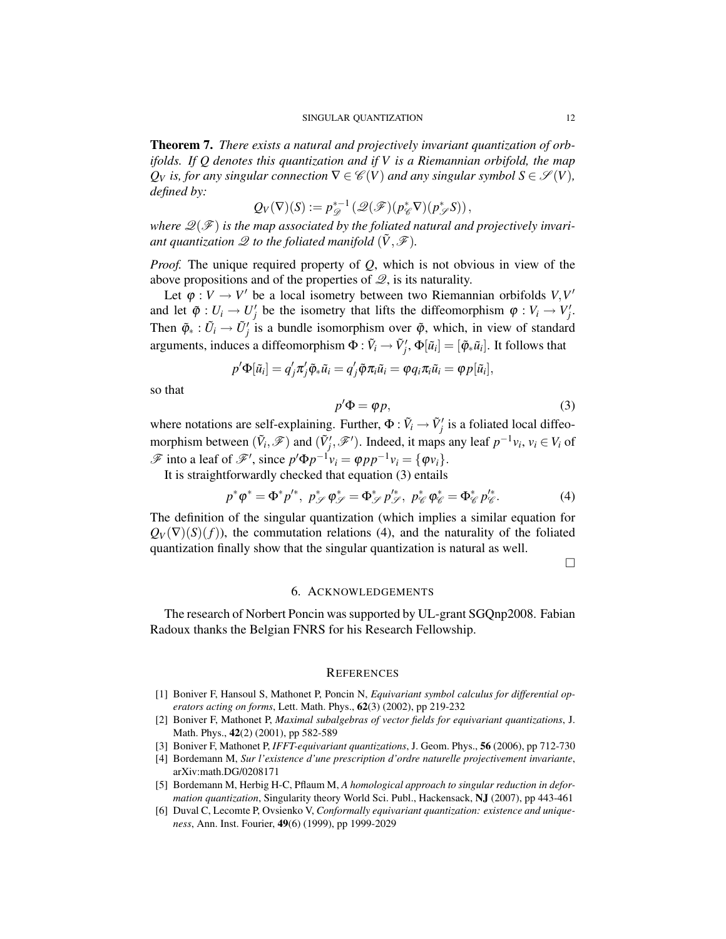Theorem 7. *There exists a natural and projectively invariant quantization of orbifolds. If Q denotes this quantization and if V is a Riemannian orbifold, the map*  $Q_V$  *is, for any singular connection*  $\nabla \in \mathcal{C}(V)$  *and any singular symbol*  $S \in \mathcal{S}(V)$ *, defined by:*

$$
Q_V(\nabla)(S) := p_{\mathscr{D}}^{*-1}(\mathscr{Q}(\mathscr{F})(p_{\mathscr{C}}^*\nabla)(p_{\mathscr{S}}^*S)),
$$

where  $\mathcal{Q}(\mathcal{F})$  is the map associated by the foliated natural and projectively invari*ant quantization*  $\mathscr Q$  *to the foliated manifold*  $(\tilde V, \mathscr F)$ *.* 

*Proof.* The unique required property of *Q*, which is not obvious in view of the above propositions and of the properties of  $\mathcal{Q}$ , is its naturality.

Let  $\varphi : V \to V'$  be a local isometry between two Riemannian orbifolds  $V, V'$ and let  $\tilde{\varphi}: U_i \to U'_j$  be the isometry that lifts the diffeomorphism  $\varphi: V_i \to V'_j$ . Then  $\tilde{\varphi}_* : \tilde{U}_i \to \tilde{U}'_j$  is a bundle isomorphism over  $\tilde{\varphi}$ , which, in view of standard arguments, induces a diffeomorphism  $\Phi : \tilde{V}_i \to \tilde{V}'_j$ ,  $\Phi[\tilde{u}_i] = [\tilde{\phi}_*\tilde{u}_i]$ . It follows that

$$
p'\Phi[\tilde{u}_i] = q'_j \pi'_j \tilde{\varphi}_* \tilde{u}_i = q'_j \tilde{\varphi} \pi_i \tilde{u}_i = \varphi q_i \pi_i \tilde{u}_i = \varphi p[\tilde{u}_i],
$$

so that

$$
p'\Phi = \varphi p,\tag{3}
$$

where notations are self-explaining. Further,  $\Phi : \tilde{V}_i \to \tilde{V}'_j$  is a foliated local diffeomorphism between  $(\tilde{V}_i, \mathcal{F})$  and  $(\tilde{V}'_j, \mathcal{F}')$ . Indeed, it maps any leaf  $p^{-1}v_i$ ,  $v_i \in V_i$  of  $\mathscr{F}$  into a leaf of  $\mathscr{F}'$ , since  $p' \Phi p^{-1} v_i = \phi p p^{-1} v_i = {\phi v_i}.$ 

It is straightforwardly checked that equation (3) entails

$$
p^*\varphi^* = \Phi^* p'^*, \ p^*_{\mathscr{S}} \varphi^*_{\mathscr{S}} = \Phi^*_{\mathscr{S}} p'^*_{\mathscr{S}}, \ p^*_{\mathscr{C}} \varphi^*_{\mathscr{C}} = \Phi^*_{\mathscr{C}} p'^*_{\mathscr{C}}.
$$
 (4)

The definition of the singular quantization (which implies a similar equation for  $Q_V(\nabla)(S)(f)$ , the commutation relations (4), and the naturality of the foliated quantization finally show that the singular quantization is natural as well.

 $\Box$ 

#### 6. ACKNOWLEDGEMENTS

The research of Norbert Poncin was supported by UL-grant SGQnp2008. Fabian Radoux thanks the Belgian FNRS for his Research Fellowship.

### **REFERENCES**

- [1] Boniver F, Hansoul S, Mathonet P, Poncin N, *Equivariant symbol calculus for differential operators acting on forms*, Lett. Math. Phys., 62(3) (2002), pp 219-232
- [2] Boniver F, Mathonet P, *Maximal subalgebras of vector fields for equivariant quantizations*, J. Math. Phys., 42(2) (2001), pp 582-589
- [3] Boniver F, Mathonet P, *IFFT-equivariant quantizations*, J. Geom. Phys., 56 (2006), pp 712-730
- [4] Bordemann M, *Sur l'existence d'une prescription d'ordre naturelle projectivement invariante*, arXiv:math.DG/0208171
- [5] Bordemann M, Herbig H-C, Pflaum M, *A homological approach to singular reduction in deformation quantization*, Singularity theory World Sci. Publ., Hackensack, NJ (2007), pp 443-461
- [6] Duval C, Lecomte P, Ovsienko V, *Conformally equivariant quantization: existence and uniqueness*, Ann. Inst. Fourier, 49(6) (1999), pp 1999-2029